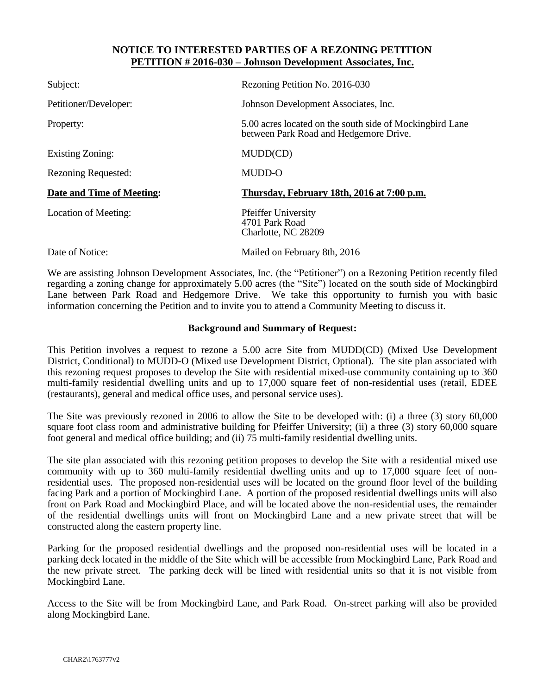## **NOTICE TO INTERESTED PARTIES OF A REZONING PETITION PETITION # 2016-030 – Johnson Development Associates, Inc.**

| Subject:                   | Rezoning Petition No. 2016-030                                                                     |
|----------------------------|----------------------------------------------------------------------------------------------------|
| Petitioner/Developer:      | Johnson Development Associates, Inc.                                                               |
| Property:                  | 5.00 acres located on the south side of Mockingbird Lane<br>between Park Road and Hedgemore Drive. |
| <b>Existing Zoning:</b>    | MUDD(CD)                                                                                           |
| <b>Rezoning Requested:</b> | MUDD-O                                                                                             |
| Date and Time of Meeting:  | Thursday, February 18th, 2016 at 7:00 p.m.                                                         |
| Location of Meeting:       | <b>Pfeiffer University</b><br>4701 Park Road<br>Charlotte, NC 28209                                |
| Date of Notice:            | Mailed on February 8th, 2016                                                                       |

We are assisting Johnson Development Associates, Inc. (the "Petitioner") on a Rezoning Petition recently filed regarding a zoning change for approximately 5.00 acres (the "Site") located on the south side of Mockingbird Lane between Park Road and Hedgemore Drive. We take this opportunity to furnish you with basic information concerning the Petition and to invite you to attend a Community Meeting to discuss it.

## **Background and Summary of Request:**

This Petition involves a request to rezone a 5.00 acre Site from MUDD(CD) (Mixed Use Development District, Conditional) to MUDD-O (Mixed use Development District, Optional). The site plan associated with this rezoning request proposes to develop the Site with residential mixed-use community containing up to 360 multi-family residential dwelling units and up to 17,000 square feet of non-residential uses (retail, EDEE (restaurants), general and medical office uses, and personal service uses).

The Site was previously rezoned in 2006 to allow the Site to be developed with: (i) a three (3) story 60,000 square foot class room and administrative building for Pfeiffer University; (ii) a three (3) story 60,000 square foot general and medical office building; and (ii) 75 multi-family residential dwelling units.

The site plan associated with this rezoning petition proposes to develop the Site with a residential mixed use community with up to 360 multi-family residential dwelling units and up to 17,000 square feet of nonresidential uses. The proposed non-residential uses will be located on the ground floor level of the building facing Park and a portion of Mockingbird Lane. A portion of the proposed residential dwellings units will also front on Park Road and Mockingbird Place, and will be located above the non-residential uses, the remainder of the residential dwellings units will front on Mockingbird Lane and a new private street that will be constructed along the eastern property line.

Parking for the proposed residential dwellings and the proposed non-residential uses will be located in a parking deck located in the middle of the Site which will be accessible from Mockingbird Lane, Park Road and the new private street. The parking deck will be lined with residential units so that it is not visible from Mockingbird Lane.

Access to the Site will be from Mockingbird Lane, and Park Road. On-street parking will also be provided along Mockingbird Lane.